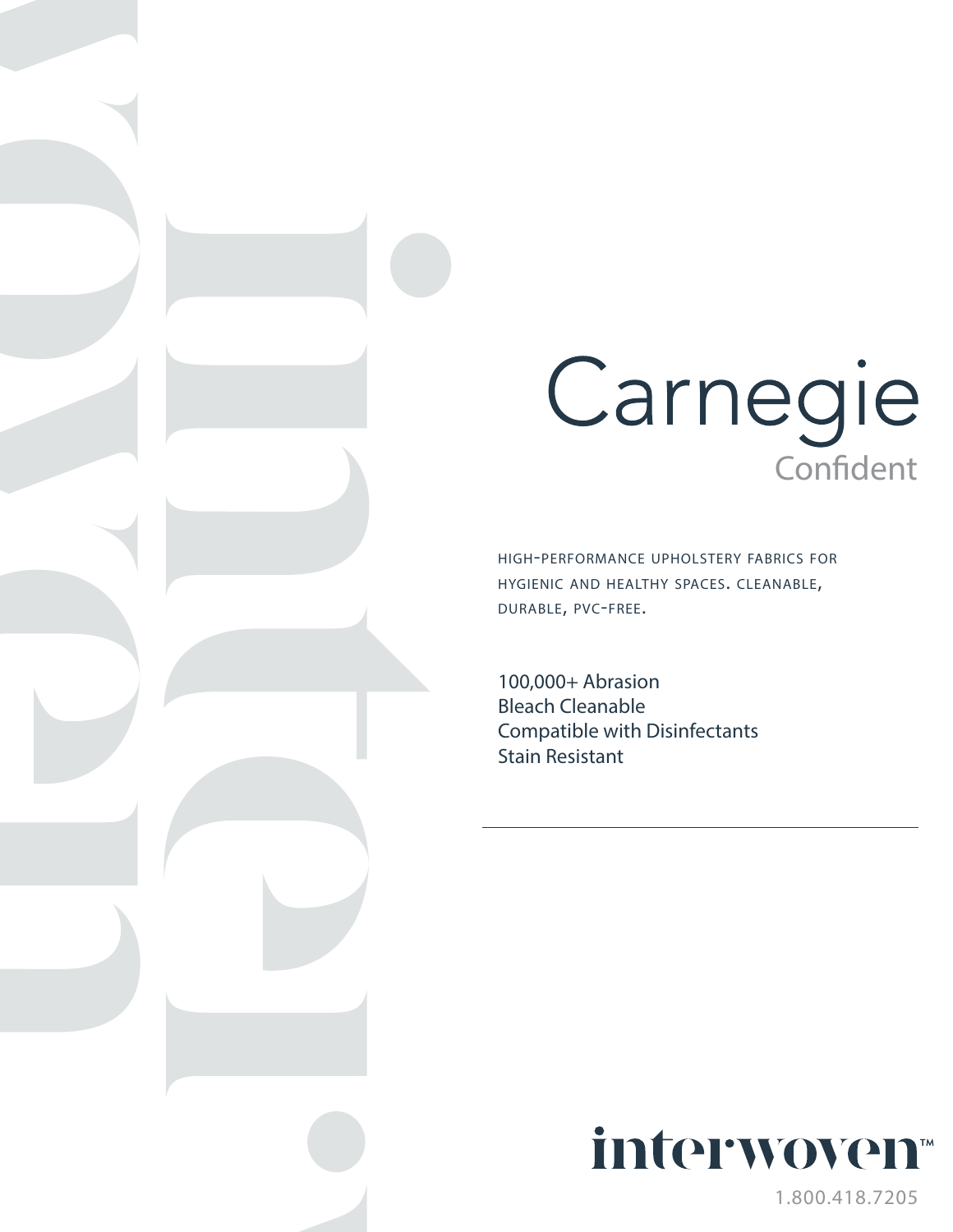## **Carnegie**

high-performance upholstery fabrics for hygienic and healthy spaces. cleanable, durable, pvc-free.

100,000+ Abrasion Bleach Cleanable Compatible with Disinfectants Stain Resistant



1.800.418.7205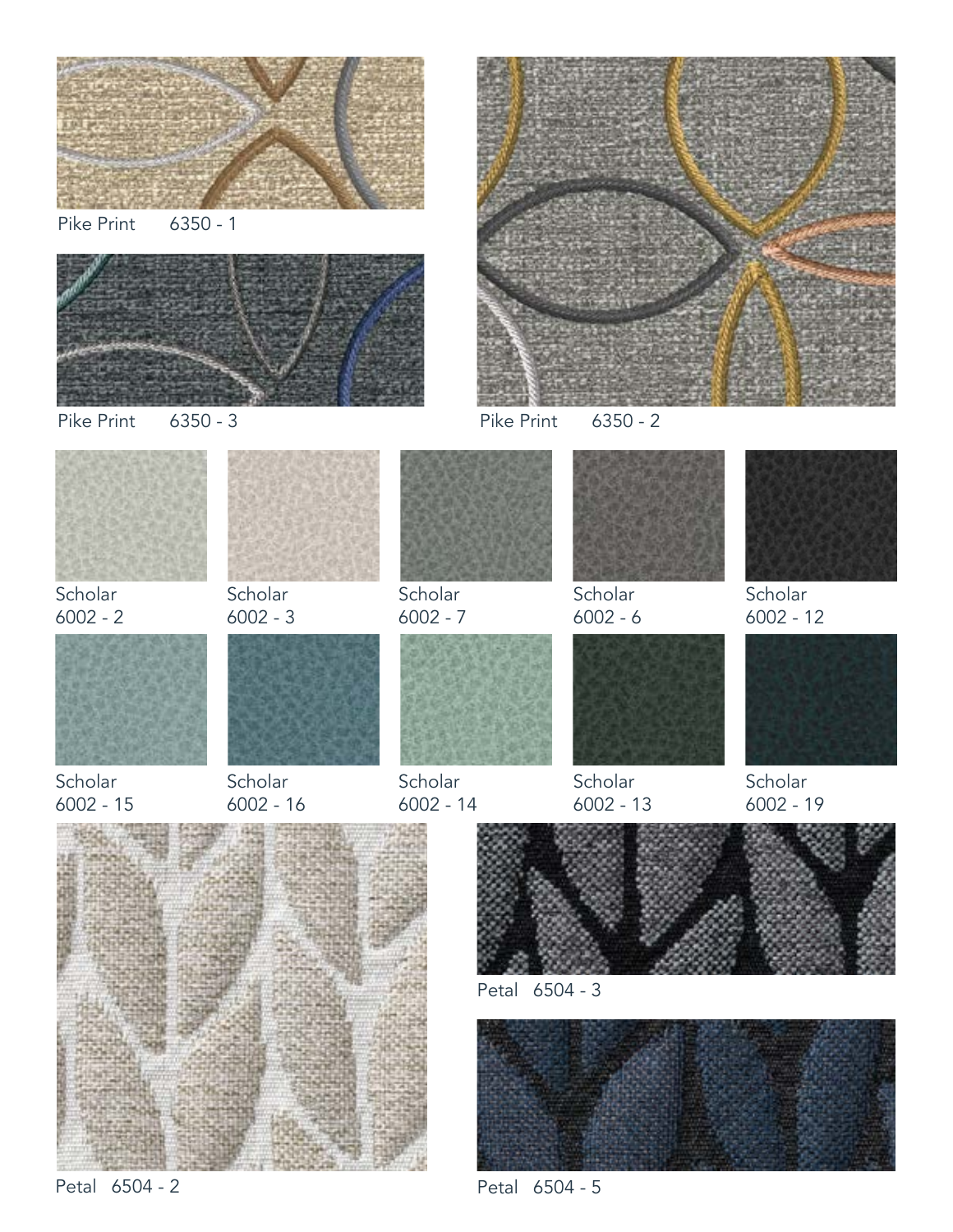

Petal 6504 - 2

Petal 6504 - 5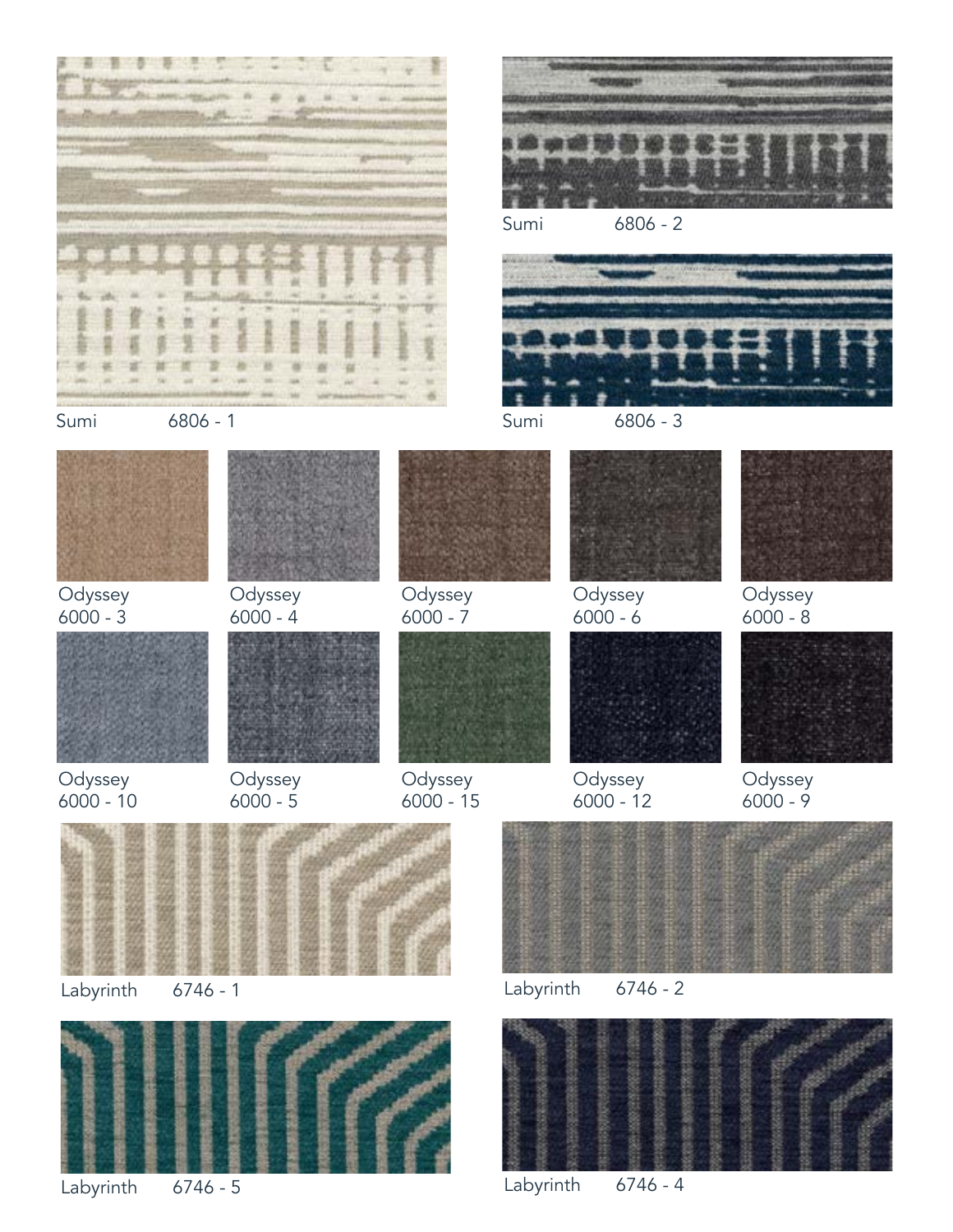

Labyrinth 6746 - 5 Labyrinth 6746 - 4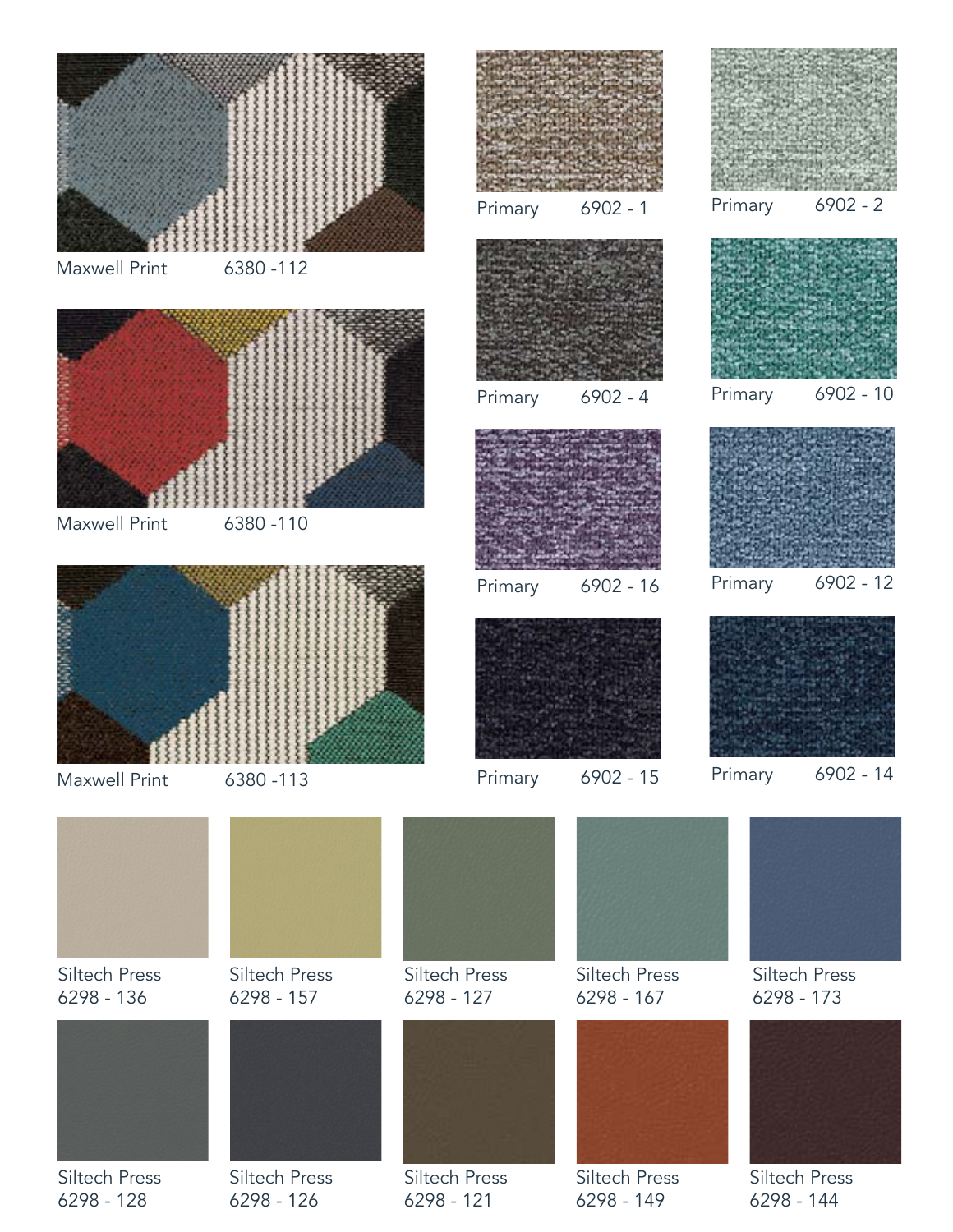